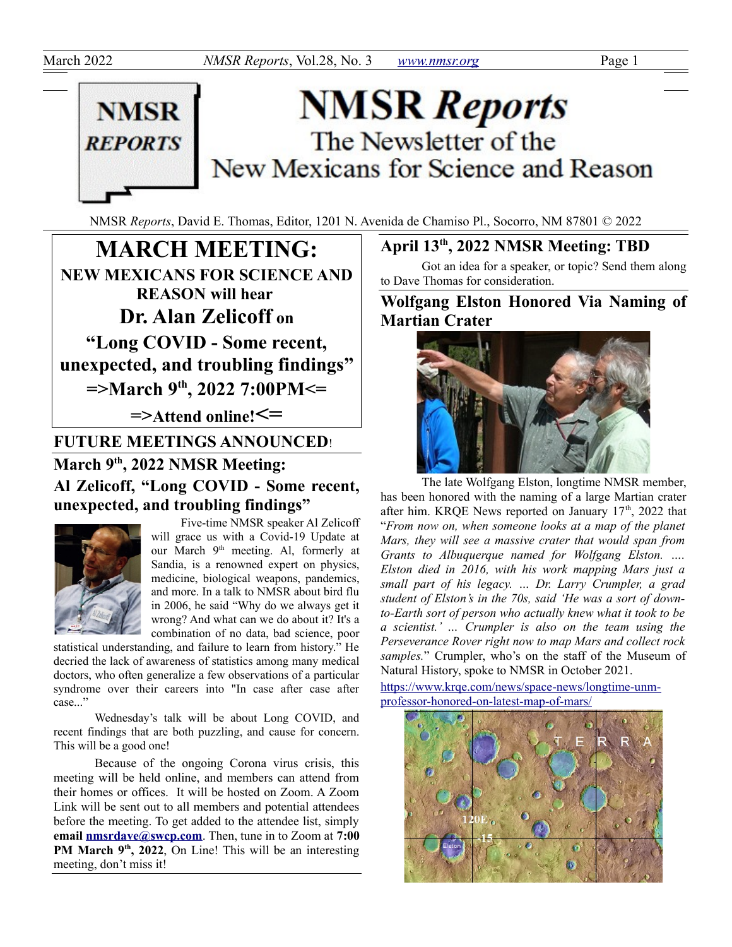

# **NMSR Reports** The Newsletter of the New Mexicans for Science and Reason

NMSR *Reports*, David E. Thomas, Editor, 1201 N. Avenida de Chamiso Pl., Socorro, NM 87801 © 2022

**MARCH MEETING: NEW MEXICANS FOR SCIENCE AND REASON will hear Dr. Alan Zelicoff on "Long COVID - Some recent, unexpected, and troubling findings" =>March 9th, 2022 7:00PM<= =>Attend online!<= FUTURE MEETINGS ANNOUNCED**!

**March 9th, 2022 NMSR Meeting: Al Zelicoff, "Long COVID - Some recent, unexpected, and troubling findings"**



Five-time NMSR speaker Al Zelicoff will grace us with a Covid-19 Update at our March 9<sup>th</sup> meeting. Al, formerly at Sandia, is a renowned expert on physics, medicine, biological weapons, pandemics, and more. In a talk to NMSR about bird flu in 2006, he said "Why do we always get it wrong? And what can we do about it? It's a combination of no data, bad science, poor

statistical understanding, and failure to learn from history." He decried the lack of awareness of statistics among many medical doctors, who often generalize a few observations of a particular syndrome over their careers into "In case after case after case..."

Wednesday's talk will be about Long COVID, and recent findings that are both puzzling, and cause for concern. This will be a good one!

Because of the ongoing Corona virus crisis, this meeting will be held online, and members can attend from their homes or offices. It will be hosted on Zoom. A Zoom Link will be sent out to all members and potential attendees before the meeting. To get added to the attendee list, simply **email [nmsrdave@swcp.com](mailto:nmsrdave@swcp.com)**. Then, tune in to Zoom at **7:00** PM March 9<sup>th</sup>, 2022, On Line! This will be an interesting meeting, don't miss it!

# **April 13th, 2022 NMSR Meeting: TBD**

Got an idea for a speaker, or topic? Send them along to Dave Thomas for consideration.

**Wolfgang Elston Honored Via Naming of Martian Crater**



The late Wolfgang Elston, longtime NMSR member, has been honored with the naming of a large Martian crater after him. KRQE News reported on January  $17<sup>th</sup>$ , 2022 that "*From now on, when someone looks at a map of the planet Mars, they will see a massive crater that would span from Grants to Albuquerque named for Wolfgang Elston. …. Elston died in 2016, with his work mapping Mars just a small part of his legacy. … Dr. Larry Crumpler, a grad student of Elston's in the 70s, said 'He was a sort of downto-Earth sort of person who actually knew what it took to be a scientist.' … Crumpler is also on the team using the Perseverance Rover right now to map Mars and collect rock samples.*" Crumpler, who's on the staff of the Museum of Natural History, spoke to NMSR in October 2021.

[https://www.krqe.com/news/space-news/longtime-unm](https://www.krqe.com/news/space-news/longtime-unm-professor-honored-on-latest-map-of-mars/)[professor-honored-on-latest-map-of-mars/](https://www.krqe.com/news/space-news/longtime-unm-professor-honored-on-latest-map-of-mars/)

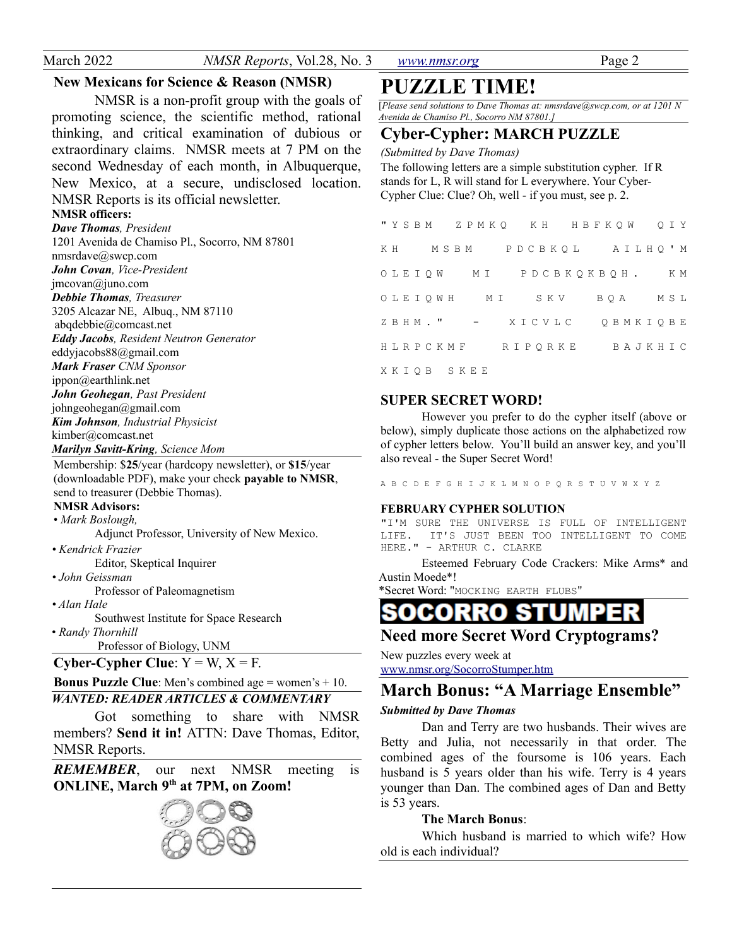| March 2022 |  |
|------------|--|
|------------|--|

*NMSR Reports*, Vol.28, No. 3 *[www.nmsr.org](http://www.nmsr.org/)* Page 2

### **New Mexicans for Science & Reason (NMSR)**

NMSR is a non-profit group with the goals of promoting science, the scientific method, rational thinking, and critical examination of dubious or extraordinary claims. NMSR meets at 7 PM on the second Wednesday of each month, in Albuquerque, New Mexico, at a secure, undisclosed location. NMSR Reports is its official newsletter.

### **NMSR officers:**

*Dave Thomas, President* 1201 Avenida de Chamiso Pl., Socorro, NM 87801 nmsrdave@swcp.com *John Covan, Vice-President* jmcovan@juno.com *Debbie Thomas, Treasurer* 3205 Alcazar NE, Albuq., NM 87110 abqdebbie@comcast.net *Eddy Jacobs, Resident Neutron Generator* eddyjacobs88@gmail.com *Mark Fraser CNM Sponsor* ippon@earthlink.net *John Geohegan, Past President* johngeohegan@gmail.com *Kim Johnson, Industrial Physicist* kimber@comcast.net *Marilyn Savitt-Kring, Science Mom*

Membership: \$**25**/year (hardcopy newsletter), or **\$15**/year (downloadable PDF), make your check **payable to NMSR**, send to treasurer (Debbie Thomas).

### **NMSR Advisors:**

• *Mark Boslough,* 

Adjunct Professor, University of New Mexico.

*• Kendrick Frazier* Editor, Skeptical Inquirer

### *• John Geissman*

Professor of Paleomagnetism

*• Alan Hale*

Southwest Institute for Space Research

• *Randy Thornhill*

Professor of Biology, UNM

```
Cyber-Cypher Clue: Y = W, X = F.
```
**Bonus Puzzle Clue**: Men's combined age = women's + 10.

### *WANTED: READER ARTICLES & COMMENTARY*

Got something to share with NMSR members? **Send it in!** ATTN: Dave Thomas, Editor, NMSR Reports.

*REMEMBER*, our next NMSR meeting is **ONLINE, March 9th at 7PM, on Zoom!**



# **PUZZLE TIME!**

[*Please send solutions to Dave Thomas at: nmsrdave@swcp.com, or at 1201 N Avenida de Chamiso Pl., Socorro NM 87801.]*

### **Cyber-Cypher: MARCH PUZZLE**

*(Submitted by Dave Thomas)*

The following letters are a simple substitution cypher. If R stands for L, R will stand for L everywhere. Your Cyber-Cypher Clue: Clue? Oh, well - if you must, see p. 2.

|  |  |            |  |  |  |                | "YSBM ZPMKQ KH HBFKQW QIY |  |         |  |  |  |
|--|--|------------|--|--|--|----------------|---------------------------|--|---------|--|--|--|
|  |  |            |  |  |  |                | KH MSBM PDCBKQL AILHQ'M   |  |         |  |  |  |
|  |  |            |  |  |  |                | OLEIOW MI PDCBKOKBOH. KM  |  |         |  |  |  |
|  |  |            |  |  |  | OLEIOWH MI SKV |                           |  | BOA MSL |  |  |  |
|  |  |            |  |  |  |                | ZBHM." - XICVLC QBMKIQBE  |  |         |  |  |  |
|  |  |            |  |  |  |                |                           |  |         |  |  |  |
|  |  | XKIOB SKEE |  |  |  |                |                           |  |         |  |  |  |

### **SUPER SECRET WORD!**

However you prefer to do the cypher itself (above or below), simply duplicate those actions on the alphabetized row of cypher letters below. You'll build an answer key, and you'll also reveal - the Super Secret Word!

A B C D E F G H I J K L M N O P Q R S T U V W X Y Z

### **FEBRUARY CYPHER SOLUTION**

"I'M SURE THE UNIVERSE IS FULL OF INTELLIGENT LIFE. IT'S JUST BEEN TOO INTELLIGENT TO COME HERE." - ARTHUR C. CLARKE

Esteemed February Code Crackers: Mike Arms\* and Austin Moede\*!

\*Secret Word: "MOCKING EARTH FLUBS"

# RRO

### **Need more Secret Word Cryptograms?**

New puzzles every week at www.nmsr.org/SocorroStumper.htm

# **March Bonus: "A Marriage Ensemble"**

### *Submitted by Dave Thomas*

Dan and Terry are two husbands. Their wives are Betty and Julia, not necessarily in that order. The combined ages of the foursome is 106 years. Each husband is 5 years older than his wife. Terry is 4 years younger than Dan. The combined ages of Dan and Betty is 53 years.

### **The March Bonus**:

Which husband is married to which wife? How old is each individual?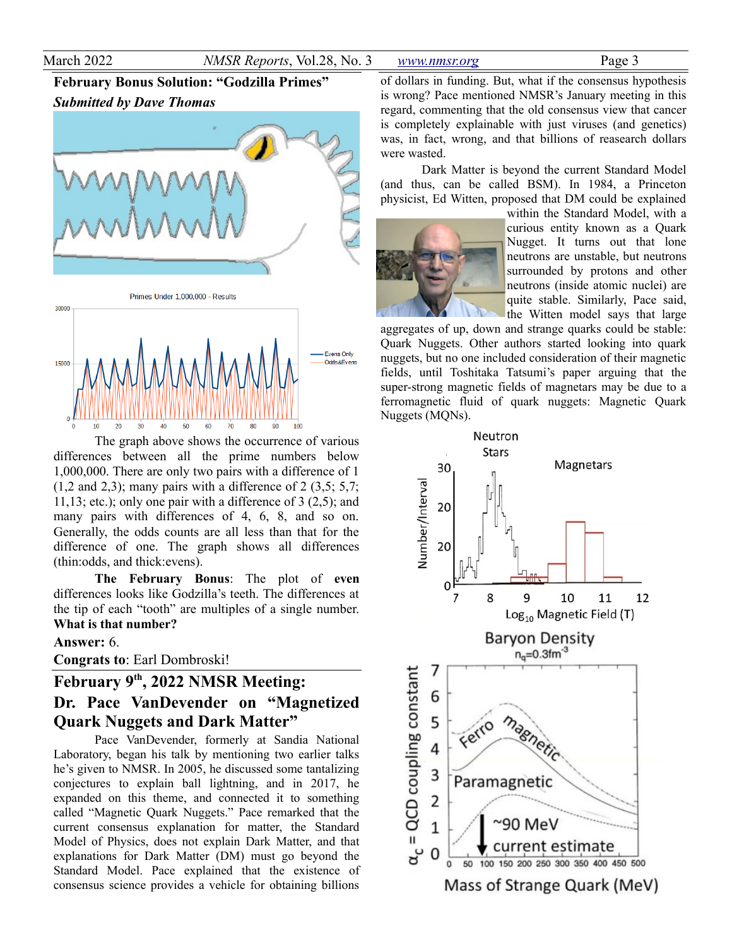#### March 2022 *NMSR Reports*, Vol.28, No. 3 *[www.nmsr.org](http://www.nmsr.org/)* Page 3

## **February Bonus Solution: "Godzilla Primes"** *Submitted by Dave Thomas*



The graph above shows the occurrence of various differences between all the prime numbers below 1,000,000. There are only two pairs with a difference of 1  $(1,2 \text{ and } 2,3)$ ; many pairs with a difference of  $2$   $(3,5; 5,7;$ 11,13; etc.); only one pair with a difference of  $3(2,5)$ ; and many pairs with differences of 4, 6, 8, and so on. Generally, the odds counts are all less than that for the difference of one. The graph shows all differences (thin:odds, and thick:evens).

 $50^{1}$  $60$ 

**The February Bonus**: The plot of **even** differences looks like Godzilla's teeth. The differences at the tip of each "tooth" are multiples of a single number. **What is that number?**

### **Answer:** 6.

**Congrats to**: Earl Dombroski!

# **February 9th, 2022 NMSR Meeting: Dr. Pace VanDevender on "Magnetized Quark Nuggets and Dark Matter"**

Pace VanDevender, formerly at Sandia National Laboratory, began his talk by mentioning two earlier talks he's given to NMSR. In 2005, he discussed some tantalizing conjectures to explain ball lightning, and in 2017, he expanded on this theme, and connected it to something called "Magnetic Quark Nuggets." Pace remarked that the current consensus explanation for matter, the Standard Model of Physics, does not explain Dark Matter, and that explanations for Dark Matter (DM) must go beyond the Standard Model. Pace explained that the existence of consensus science provides a vehicle for obtaining billions of dollars in funding. But, what if the consensus hypothesis is wrong? Pace mentioned NMSR's January meeting in this regard, commenting that the old consensus view that cancer is completely explainable with just viruses (and genetics) was, in fact, wrong, and that billions of reasearch dollars were wasted.

Dark Matter is beyond the current Standard Model (and thus, can be called BSM). In 1984, a Princeton physicist, Ed Witten, proposed that DM could be explained



within the Standard Model, with a curious entity known as a Quark Nugget. It turns out that lone neutrons are unstable, but neutrons surrounded by protons and other neutrons (inside atomic nuclei) are quite stable. Similarly, Pace said, the Witten model says that large

aggregates of up, down and strange quarks could be stable: Quark Nuggets. Other authors started looking into quark nuggets, but no one included consideration of their magnetic fields, until Toshitaka Tatsumi's paper arguing that the super-strong magnetic fields of magnetars may be due to a ferromagnetic fluid of quark nuggets: Magnetic Quark Nuggets (MQNs).